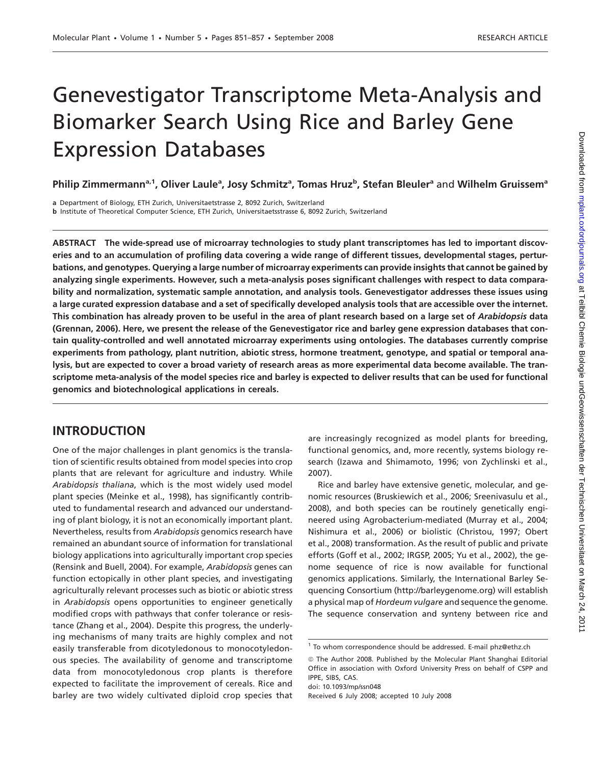# Genevestigator Transcriptome Meta-Analysis and Biomarker Search Using Rice and Barley Gene Expression Databases

Philip Zimmermann<sup>a, 1</sup>, Oliver Laule<sup>a</sup>, Josy Schmitz<sup>a</sup>, Tomas Hruz<sup>b</sup>, Stefan Bleuler<sup>a</sup> and Wilhelm Gruissem<sup>a</sup>

a Department of Biology, ETH Zurich, Universitaetstrasse 2, 8092 Zurich, Switzerland

b Institute of Theoretical Computer Science, ETH Zurich, Universitaetsstrasse 6, 8092 Zurich, Switzerland

ABSTRACT The wide-spread use of microarray technologies to study plant transcriptomes has led to important discoveries and to an accumulation of profiling data covering a wide range of different tissues, developmental stages, perturbations, and genotypes. Querying a large number of microarray experiments can provide insights that cannot be gained by analyzing single experiments. However, such a meta-analysis poses significant challenges with respect to data comparability and normalization, systematic sample annotation, and analysis tools. Genevestigator addresses these issues using a large curated expression database and a set of specifically developed analysis tools that are accessible over the internet. This combination has already proven to be useful in the area of plant research based on a large set of Arabidopsis data (Grennan, 2006). Here, we present the release of the Genevestigator rice and barley gene expression databases that contain quality-controlled and well annotated microarray experiments using ontologies. The databases currently comprise experiments from pathology, plant nutrition, abiotic stress, hormone treatment, genotype, and spatial or temporal analysis, but are expected to cover a broad variety of research areas as more experimental data become available. The transcriptome meta-analysis of the model species rice and barley is expected to deliver results that can be used for functional genomics and biotechnological applications in cereals.

### INTRODUCTION

One of the major challenges in plant genomics is the translation of scientific results obtained from model species into crop plants that are relevant for agriculture and industry. While Arabidopsis thaliana, which is the most widely used model plant species (Meinke et al., 1998), has significantly contributed to fundamental research and advanced our understanding of plant biology, it is not an economically important plant. Nevertheless, results from Arabidopsis genomics research have remained an abundant source of information for translational biology applications into agriculturally important crop species (Rensink and Buell, 2004). For example, Arabidopsis genes can function ectopically in other plant species, and investigating agriculturally relevant processes such as biotic or abiotic stress in Arabidopsis opens opportunities to engineer genetically modified crops with pathways that confer tolerance or resistance (Zhang et al., 2004). Despite this progress, the underlying mechanisms of many traits are highly complex and not easily transferable from dicotyledonous to monocotyledonous species. The availability of genome and transcriptome data from monocotyledonous crop plants is therefore expected to facilitate the improvement of cereals. Rice and barley are two widely cultivated diploid crop species that are increasingly recognized as model plants for breeding, functional genomics, and, more recently, systems biology research (Izawa and Shimamoto, 1996; von Zychlinski et al., 2007).

Rice and barley have extensive genetic, molecular, and genomic resources (Bruskiewich et al., 2006; Sreenivasulu et al., 2008), and both species can be routinely genetically engineered using Agrobacterium-mediated (Murray et al., 2004; Nishimura et al., 2006) or biolistic (Christou, 1997; Obert et al., 2008) transformation. As the result of public and private efforts (Goff et al., 2002; IRGSP, 2005; Yu et al., 2002), the genome sequence of rice is now available for functional genomics applications. Similarly, the International Barley Sequencing Consortium ([http://barleygenome.org\)](http://barleygenome.org) will establish a physical map of Hordeum vulgare and sequence the genome. The sequence conservation and synteny between rice and

doi: 10.1093/mp/ssn048

Received 6 July 2008; accepted 10 July 2008

<sup>1</sup> To whom correspondence should be addressed. E-mail phz@ethz.ch

 $@$  The Author 2008. Published by the Molecular Plant Shanghai Editorial Office in association with Oxford University Press on behalf of CSPP and IPPE, SIBS, CAS.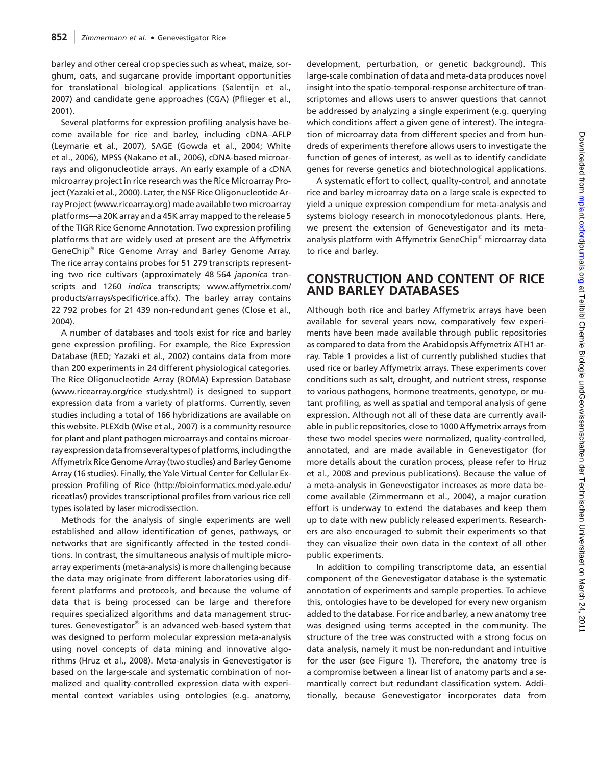barley and other cereal crop species such as wheat, maize, sorghum, oats, and sugarcane provide important opportunities for translational biological applications (Salentijn et al., 2007) and candidate gene approaches (CGA) (Pflieger et al., 2001).

Several platforms for expression profiling analysis have become available for rice and barley, including cDNA–AFLP (Leymarie et al., 2007), SAGE (Gowda et al., 2004; White et al., 2006), MPSS (Nakano et al., 2006), cDNA-based microarrays and oligonucleotide arrays. An early example of a cDNA microarray project in rice research was the Rice Microarray Project (Yazaki et al., 2000). Later, the NSF Rice Oligonucleotide Array Project [\(www.ricearray.org\)](http://www.ricearray.org) made available two microarray platforms—a 20K array and a 45K array mapped to the release 5 of the TIGR Rice Genome Annotation. Two expression profiling platforms that are widely used at present are the Affymetrix GeneChip<sup>®</sup> Rice Genome Array and Barley Genome Array. The rice array contains probes for 51 279 transcripts representing two rice cultivars (approximately 48 564 japonica transcripts and 1260 indica transcripts; [www.affymetrix.com/](http://www.affymetrix.com/products/arrays/specific/rice.affx) [products/arrays/specific/rice.affx](http://www.affymetrix.com/products/arrays/specific/rice.affx)). The barley array contains 22 792 probes for 21 439 non-redundant genes (Close et al., 2004).

A number of databases and tools exist for rice and barley gene expression profiling. For example, the Rice Expression Database (RED; Yazaki et al., 2002) contains data from more than 200 experiments in 24 different physiological categories. The Rice Oligonucleotide Array (ROMA) Expression Database [\(www.ricearray.org/rice\\_study.shtml\)](http://www.ricearray.org/rice_study.shtml) is designed to support expression data from a variety of platforms. Currently, seven studies including a total of 166 hybridizations are available on this website. PLEXdb (Wise et al., 2007) is a community resource for plant and plant pathogen microarrays and contains microarray expression data from several types of platforms, including the Affymetrix Rice Genome Array (two studies) and Barley Genome Array (16 studies). Finally, the Yale Virtual Center for Cellular Expression Profiling of Rice [\(http://bioinformatics.med.yale.edu/](http://bioinformatics.med.yale.edu/riceatlas/) [riceatlas/\)](http://bioinformatics.med.yale.edu/riceatlas/) provides transcriptional profiles from various rice cell types isolated by laser microdissection.

Methods for the analysis of single experiments are well established and allow identification of genes, pathways, or networks that are significantly affected in the tested conditions. In contrast, the simultaneous analysis of multiple microarray experiments (meta-analysis) is more challenging because the data may originate from different laboratories using different platforms and protocols, and because the volume of data that is being processed can be large and therefore requires specialized algorithms and data management structures. Genevestigator $^{\circledast}$  is an advanced web-based system that was designed to perform molecular expression meta-analysis using novel concepts of data mining and innovative algorithms (Hruz et al., 2008). Meta-analysis in Genevestigator is based on the large-scale and systematic combination of normalized and quality-controlled expression data with experimental context variables using ontologies (e.g. anatomy,

development, perturbation, or genetic background). This large-scale combination of data and meta-data produces novel insight into the spatio-temporal-response architecture of transcriptomes and allows users to answer questions that cannot be addressed by analyzing a single experiment (e.g. querying which conditions affect a given gene of interest). The integration of microarray data from different species and from hundreds of experiments therefore allows users to investigate the function of genes of interest, as well as to identify candidate genes for reverse genetics and biotechnological applications.

A systematic effort to collect, quality-control, and annotate rice and barley microarray data on a large scale is expected to yield a unique expression compendium for meta-analysis and systems biology research in monocotyledonous plants. Here, we present the extension of Genevestigator and its metaanalysis platform with Affymetrix GeneChip<sup>®</sup> microarray data to rice and barley.

## CONSTRUCTION AND CONTENT OF RICE AND BARLEY DATABASES

Although both rice and barley Affymetrix arrays have been available for several years now, comparatively few experiments have been made available through public repositories as compared to data from the Arabidopsis Affymetrix ATH1 array. Table 1 provides a list of currently published studies that used rice or barley Affymetrix arrays. These experiments cover conditions such as salt, drought, and nutrient stress, response to various pathogens, hormone treatments, genotype, or mutant profiling, as well as spatial and temporal analysis of gene expression. Although not all of these data are currently available in public repositories, close to 1000 Affymetrix arrays from these two model species were normalized, quality-controlled, annotated, and are made available in Genevestigator (for more details about the curation process, please refer to Hruz et al., 2008 and previous publications). Because the value of a meta-analysis in Genevestigator increases as more data become available (Zimmermann et al., 2004), a major curation effort is underway to extend the databases and keep them up to date with new publicly released experiments. Researchers are also encouraged to submit their experiments so that they can visualize their own data in the context of all other public experiments.

In addition to compiling transcriptome data, an essential component of the Genevestigator database is the systematic annotation of experiments and sample properties. To achieve this, ontologies have to be developed for every new organism added to the database. For rice and barley, a new anatomy tree was designed using terms accepted in the community. The structure of the tree was constructed with a strong focus on data analysis, namely it must be non-redundant and intuitive for the user (see Figure 1). Therefore, the anatomy tree is a compromise between a linear list of anatomy parts and a semantically correct but redundant classification system. Additionally, because Genevestigator incorporates data from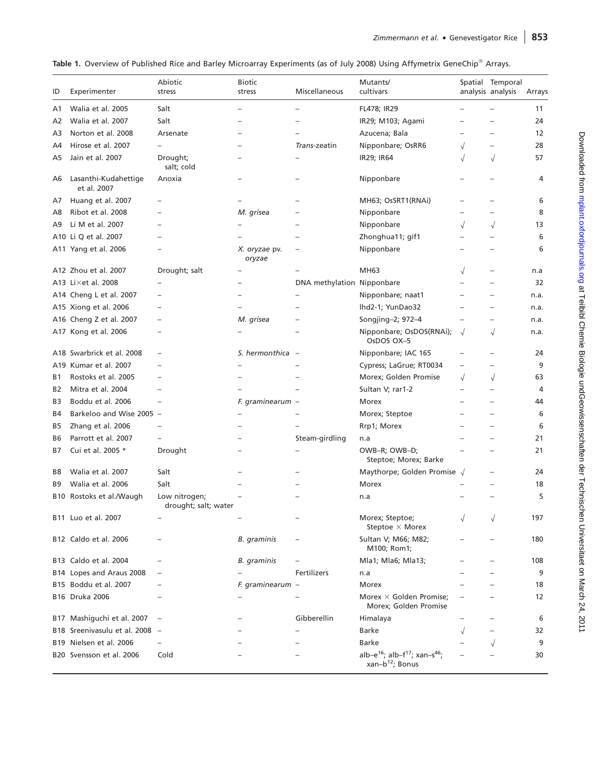|  | Table 1. Overview of Published Rice and Barley Microarray Experiments (as of July 2008) Using Affymetrix GeneChip® Arrays. |  |  |  |  |  |  |  |  |  |  |  |  |
|--|----------------------------------------------------------------------------------------------------------------------------|--|--|--|--|--|--|--|--|--|--|--|--|
|--|----------------------------------------------------------------------------------------------------------------------------|--|--|--|--|--|--|--|--|--|--|--|--|

|                |                                     | Abiotic                               | <b>Biotic</b>           |                            | Mutants/                                                                                         |                          | Spatial Temporal  |        |
|----------------|-------------------------------------|---------------------------------------|-------------------------|----------------------------|--------------------------------------------------------------------------------------------------|--------------------------|-------------------|--------|
| ID             | Experimenter                        | stress                                | stress                  | <b>Miscellaneous</b>       | cultivars                                                                                        |                          | analysis analysis | Arrays |
| A1             | Walia et al. 2005                   | Salt                                  |                         |                            | FL478; IR29                                                                                      |                          |                   | 11     |
| A2             | Walia et al. 2007                   | Salt                                  |                         |                            | IR29; M103; Agami                                                                                |                          |                   | 24     |
| A3             | Norton et al. 2008                  | Arsenate                              |                         |                            | Azucena; Bala                                                                                    |                          |                   | 12     |
| A4             | Hirose et al. 2007                  |                                       |                         | Trans-zeatin               | Nipponbare; OsRR6                                                                                | $\sqrt{}$                |                   | 28     |
| A5             | Jain et al. 2007                    | Drought;<br>salt; cold                |                         |                            | IR29; IR64                                                                                       | $\sqrt{}$                | $\sqrt{}$         | 57     |
| A6             | Lasanthi-Kudahettige<br>et al. 2007 | Anoxia                                |                         |                            | Nipponbare                                                                                       |                          |                   | 4      |
| A7             | Huang et al. 2007                   |                                       |                         |                            | MH63; OsSRT1(RNAi)                                                                               |                          |                   | 6      |
| A8             | Ribot et al. 2008                   |                                       | M. grisea               |                            | Nipponbare                                                                                       |                          |                   | 8      |
| A9             | Li M et al. 2007                    |                                       |                         |                            | Nipponbare                                                                                       | $\sqrt{}$                | $\sqrt{}$         | 13     |
|                | A10 Li Q et al. 2007                |                                       |                         |                            | Zhonghua11; gif1                                                                                 |                          |                   | 6      |
|                | A11 Yang et al. 2006                |                                       | X. oryzae pv.<br>oryzae |                            | Nipponbare                                                                                       |                          |                   | 6      |
|                | A12 Zhou et al. 2007                | Drought; salt                         |                         |                            | MH63                                                                                             | $\sqrt{}$                |                   | n.a    |
|                | A13 Li $\times$ et al. 2008         |                                       |                         | DNA methylation Nipponbare |                                                                                                  |                          |                   | 32     |
|                | A14 Cheng L et al. 2007             |                                       |                         |                            | Nipponbare; naat1                                                                                | $\overline{\phantom{0}}$ |                   | n.a.   |
|                | A15 Xiong et al. 2006               |                                       |                         |                            | lhd2-1; YunDao32                                                                                 | $\overline{\phantom{0}}$ |                   | n.a.   |
|                | A16 Cheng Z et al. 2007             | $\overline{\phantom{0}}$              | M. grisea               |                            | Songjing-2; 972-4                                                                                |                          |                   | n.a.   |
|                | A17 Kong et al. 2006                |                                       |                         |                            | Nipponbare; OsDOS(RNAi);<br>OsDOS OX-5                                                           | $\sqrt{ }$               | $\sqrt{}$         | n.a.   |
| A18            | Swarbrick et al. 2008               |                                       | S. hermonthica -        |                            | Nipponbare; IAC 165                                                                              |                          |                   | 24     |
|                | A19 Kumar et al. 2007               |                                       |                         |                            | Cypress; LaGrue; RT0034                                                                          | $\overline{\phantom{0}}$ |                   | 9      |
| B1             | Rostoks et al. 2005                 |                                       |                         |                            | Morex; Golden Promise                                                                            | $\sqrt{}$                | $\sqrt{}$         | 63     |
| B <sub>2</sub> | Mitra et al. 2004                   |                                       |                         |                            | Sultan V; rar1-2                                                                                 |                          |                   | 4      |
| B3             | Boddu et al. 2006                   |                                       | F. graminearum -        |                            | Morex                                                                                            |                          |                   | 44     |
| <b>B4</b>      | Barkeloo and Wise 2005 -            |                                       |                         |                            | Morex; Steptoe                                                                                   |                          |                   | 6      |
|                |                                     |                                       |                         |                            |                                                                                                  |                          |                   |        |
| B5             | Zhang et al. 2006                   |                                       |                         |                            | Rrp1; Morex                                                                                      |                          |                   | 6      |
| B6             | Parrott et al. 2007                 |                                       |                         | Steam-girdling             | n.a                                                                                              |                          |                   | 21     |
| B7             | Cui et al. 2005 *                   | Drought                               |                         |                            | OWB-R; OWB-D;<br>Steptoe; Morex; Barke                                                           |                          |                   | 21     |
| B8             | Walia et al. 2007                   | Salt                                  |                         |                            | Maythorpe; Golden Promise $\sqrt$                                                                |                          |                   | 24     |
| B9             | Walia et al. 2006                   | Salt                                  |                         |                            | Morex                                                                                            |                          |                   | 18     |
|                | B10 Rostoks et al./Waugh            | Low nitrogen;<br>drought; salt; water |                         |                            | n.a                                                                                              |                          |                   | 5      |
|                | B11 Luo et al. 2007                 |                                       |                         |                            | Morex; Steptoe;<br>Steptoe $\times$ Morex                                                        | $\sqrt{}$                |                   | 197    |
|                | B12 Caldo et al. 2006               |                                       | <b>B.</b> graminis      |                            | Sultan V; M66; M82;<br>M100; Rom1;                                                               |                          |                   | 180    |
|                | B13 Caldo et al. 2004               |                                       | <b>B.</b> graminis      |                            | Mla1; Mla6; Mla13;                                                                               |                          |                   | 108    |
|                | B14 Lopes and Araus 2008            |                                       |                         | Fertilizers                | n.a                                                                                              |                          |                   | 9      |
|                | B15 Boddu et al. 2007               |                                       | F. graminearum -        |                            | Morex                                                                                            |                          |                   | 18     |
|                | B16 Druka 2006                      |                                       |                         |                            | Morex $\times$ Golden Promise;<br>Morex; Golden Promise                                          |                          |                   | 12     |
|                | B17 Mashiguchi et al. 2007          | $\overline{\phantom{a}}$              |                         | Gibberellin                | Himalaya                                                                                         |                          |                   | 6      |
|                | B18 Sreenivasulu et al. 2008 -      |                                       |                         |                            | Barke                                                                                            | $\sqrt{}$                |                   | 32     |
|                | B19 Nielsen et al. 2006             |                                       |                         |                            | <b>Barke</b>                                                                                     |                          | $\sqrt{}$         | 9      |
|                | B20 Svensson et al. 2006            | Cold                                  |                         |                            | alb-e <sup>16</sup> ; alb-f <sup>17</sup> ; xan-s <sup>46</sup> ;<br>xan-b <sup>12</sup> ; Bonus |                          |                   | 30     |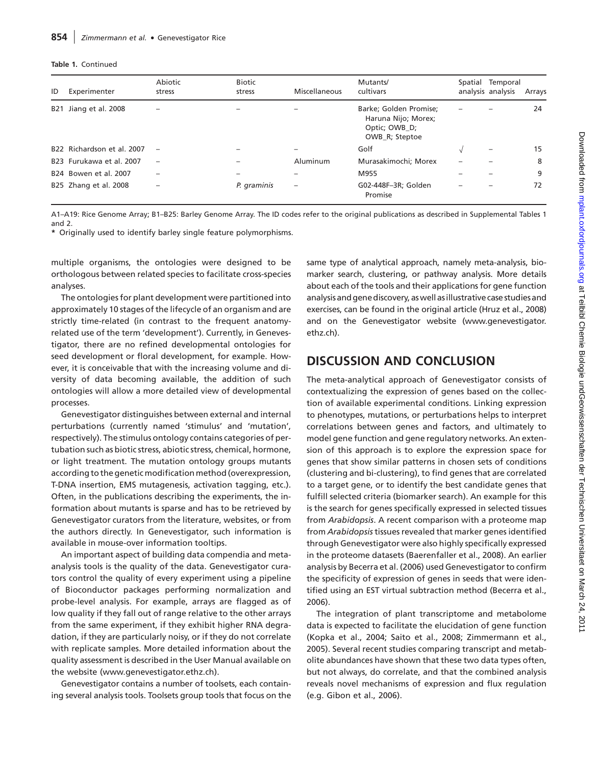#### Table 1. Continued

| ID  | Experimenter                         | Abiotic<br>stress        | <b>Biotic</b><br>stress | Miscellaneous            | Mutants/<br>cultivars                                                            | Spatial Temporal<br>analysis analysis | Arrays |
|-----|--------------------------------------|--------------------------|-------------------------|--------------------------|----------------------------------------------------------------------------------|---------------------------------------|--------|
| B21 | Jiang et al. 2008                    |                          |                         |                          | Barke; Golden Promise;<br>Haruna Nijo; Morex;<br>Optic; OWB D;<br>OWB_R; Steptoe |                                       | 24     |
|     | B22 Richardson et al. 2007           | $\overline{\phantom{m}}$ |                         |                          | Golf                                                                             | $\qquad \qquad$                       | 15     |
|     | B <sub>23</sub> Furukawa et al. 2007 | $\overline{\phantom{m}}$ | $\qquad \qquad$         | Aluminum                 | Murasakimochi; Morex                                                             |                                       | 8      |
|     | B <sub>24</sub> Bowen et al. 2007    | $-$                      | -                       |                          | M955                                                                             |                                       | 9      |
|     | B25 Zhang et al. 2008                | -                        | P. graminis             | $\overline{\phantom{0}}$ | G02-448F-3R; Golden<br>Promise                                                   |                                       | 72     |

A1–A19: Rice Genome Array; B1–B25: Barley Genome Array. The ID codes refer to the original publications as described in Supplemental<Tables 1> and 2.

\* Originally used to identify barley single feature polymorphisms.

multiple organisms, the ontologies were designed to be orthologous between related species to facilitate cross-species analyses.

The ontologies for plant development were partitioned into approximately 10 stages of the lifecycle of an organism and are strictly time-related (in contrast to the frequent anatomyrelated use of the term 'development'). Currently, in Genevestigator, there are no refined developmental ontologies for seed development or floral development, for example. However, it is conceivable that with the increasing volume and diversity of data becoming available, the addition of such ontologies will allow a more detailed view of developmental processes.

Genevestigator distinguishes between external and internal perturbations (currently named 'stimulus' and 'mutation', respectively). The stimulus ontology contains categories of pertubation such as biotic stress, abiotic stress, chemical, hormone, or light treatment. The mutation ontology groups mutants according to the genetic modification method (overexpression, T-DNA insertion, EMS mutagenesis, activation tagging, etc.). Often, in the publications describing the experiments, the information about mutants is sparse and has to be retrieved by Genevestigator curators from the literature, websites, or from the authors directly. In Genevestigator, such information is available in mouse-over information tooltips.

An important aspect of building data compendia and metaanalysis tools is the quality of the data. Genevestigator curators control the quality of every experiment using a pipeline of Bioconductor packages performing normalization and probe-level analysis. For example, arrays are flagged as of low quality if they fall out of range relative to the other arrays from the same experiment, if they exhibit higher RNA degradation, if they are particularly noisy, or if they do not correlate with replicate samples. More detailed information about the quality assessment is described in the User Manual available on the website ([www.genevestigator.ethz.ch\)](http://www.genevestigator.ethz.ch).

Genevestigator contains a number of toolsets, each containing several analysis tools. Toolsets group tools that focus on the same type of analytical approach, namely meta-analysis, biomarker search, clustering, or pathway analysis. More details about each of the tools and their applications for gene function analysis and gene discovery, as well as illustrative case studies and exercises, can be found in the original article (Hruz et al., 2008) and on the Genevestigator website [\(www.genevestigator.](http://www.genevestigator.ethz.ch) [ethz.ch\)](http://www.genevestigator.ethz.ch).

# DISCUSSION AND CONCLUSION

The meta-analytical approach of Genevestigator consists of contextualizing the expression of genes based on the collection of available experimental conditions. Linking expression to phenotypes, mutations, or perturbations helps to interpret correlations between genes and factors, and ultimately to model gene function and gene regulatory networks. An extension of this approach is to explore the expression space for genes that show similar patterns in chosen sets of conditions (clustering and bi-clustering), to find genes that are correlated to a target gene, or to identify the best candidate genes that fulfill selected criteria (biomarker search). An example for this is the search for genes specifically expressed in selected tissues from Arabidopsis. A recent comparison with a proteome map from Arabidopsis tissues revealed that marker genes identified through Genevestigator were also highly specifically expressed in the proteome datasets (Baerenfaller et al., 2008). An earlier analysis by Becerra et al. (2006) used Genevestigator to confirm the specificity of expression of genes in seeds that were identified using an EST virtual subtraction method (Becerra et al., 2006).

The integration of plant transcriptome and metabolome data is expected to facilitate the elucidation of gene function (Kopka et al., 2004; Saito et al., 2008; Zimmermann et al., 2005). Several recent studies comparing transcript and metabolite abundances have shown that these two data types often, but not always, do correlate, and that the combined analysis reveals novel mechanisms of expression and flux regulation (e.g. Gibon et al., 2006).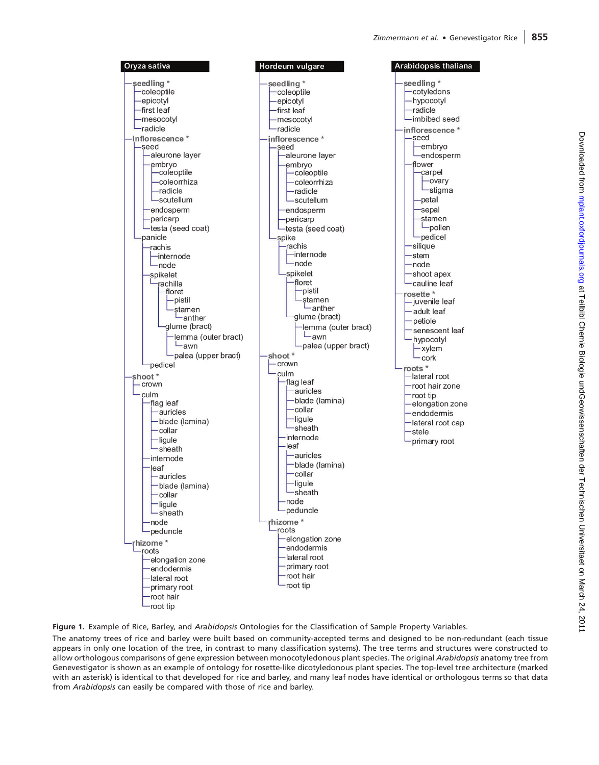

Figure 1. Example of Rice, Barley, and Arabidopsis Ontologies for the Classification of Sample Property Variables.

The anatomy trees of rice and barley were built based on community-accepted terms and designed to be non-redundant (each tissue appears in only one location of the tree, in contrast to many classification systems). The tree terms and structures were constructed to allow orthologous comparisons of gene expression between monocotyledonous plant species. The original Arabidopsis anatomy tree from Genevestigator is shown as an example of ontology for rosette-like dicotyledonous plant species. The top-level tree architecture (marked with an asterisk) is identical to that developed for rice and barley, and many leaf nodes have identical or orthologous terms so that data from Arabidopsis can easily be compared with those of rice and barley.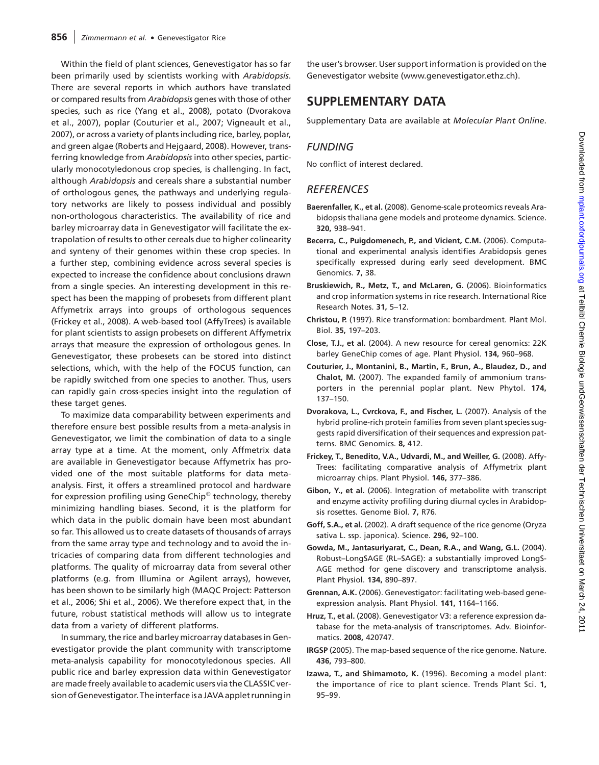Within the field of plant sciences, Genevestigator has so far been primarily used by scientists working with Arabidopsis. There are several reports in which authors have translated or compared results from Arabidopsis genes with those of other species, such as rice (Yang et al., 2008), potato (Dvorakova et al., 2007), poplar (Couturier et al., 2007; Vigneault et al., 2007), or across a variety of plants including rice, barley, poplar, and green algae (Roberts and Hejgaard, 2008). However, transferring knowledge from Arabidopsis into other species, particularly monocotyledonous crop species, is challenging. In fact, although Arabidopsis and cereals share a substantial number of orthologous genes, the pathways and underlying regulatory networks are likely to possess individual and possibly non-orthologous characteristics. The availability of rice and barley microarray data in Genevestigator will facilitate the extrapolation of results to other cereals due to higher colinearity and synteny of their genomes within these crop species. In a further step, combining evidence across several species is expected to increase the confidence about conclusions drawn from a single species. An interesting development in this respect has been the mapping of probesets from different plant Affymetrix arrays into groups of orthologous sequences (Frickey et al., 2008). A web-based tool (AffyTrees) is available for plant scientists to assign probesets on different Affymetrix arrays that measure the expression of orthologous genes. In Genevestigator, these probesets can be stored into distinct selections, which, with the help of the FOCUS function, can be rapidly switched from one species to another. Thus, users can rapidly gain cross-species insight into the regulation of these target genes.

To maximize data comparability between experiments and therefore ensure best possible results from a meta-analysis in Genevestigator, we limit the combination of data to a single array type at a time. At the moment, only Affmetrix data are available in Genevestigator because Affymetrix has provided one of the most suitable platforms for data metaanalysis. First, it offers a streamlined protocol and hardware for expression profiling using GeneChip<sup>®</sup> technology, thereby minimizing handling biases. Second, it is the platform for which data in the public domain have been most abundant so far. This allowed us to create datasets of thousands of arrays from the same array type and technology and to avoid the intricacies of comparing data from different technologies and platforms. The quality of microarray data from several other platforms (e.g. from Illumina or Agilent arrays), however, has been shown to be similarly high (MAQC Project: Patterson et al., 2006; Shi et al., 2006). We therefore expect that, in the future, robust statistical methods will allow us to integrate data from a variety of different platforms.

In summary, the rice and barley microarray databases in Genevestigator provide the plant community with transcriptome meta-analysis capability for monocotyledonous species. All public rice and barley expression data within Genevestigator are made freely available to academic users via the CLASSIC version of Genevestigator. The interface is a JAVA applet running in

the user's browser. User support information is provided on the Genevestigator website [\(www.genevestigator.ethz.ch](http://www.genevestigator.ethz.ch)).

# SUPPLEMENTARY DATA

Supplementary Data are available at Molecular Plant Online.

#### **FUNDING**

No conflict of interest declared.

#### **REFERENCES**

- Baerenfaller, K., et al. (2008). Genome-scale proteomics reveals Arabidopsis thaliana gene models and proteome dynamics. Science. 320, 938–941.
- Becerra, C., Puigdomenech, P., and Vicient, C.M. (2006). Computational and experimental analysis identifies Arabidopsis genes specifically expressed during early seed development. BMC Genomics. 7, 38.
- Bruskiewich, R., Metz, T., and McLaren, G. (2006). Bioinformatics and crop information systems in rice research. International Rice Research Notes. 31, 5–12.
- Christou, P. (1997). Rice transformation: bombardment. Plant Mol. Biol. 35, 197–203.
- Close, T.J., et al. (2004). A new resource for cereal genomics: 22K barley GeneChip comes of age. Plant Physiol. 134, 960–968.
- Couturier, J., Montanini, B., Martin, F., Brun, A., Blaudez, D., and Chalot, M. (2007). The expanded family of ammonium transporters in the perennial poplar plant. New Phytol. 174, 137–150.
- Dvorakova, L., Cvrckova, F., and Fischer, L. (2007). Analysis of the hybrid proline-rich protein families from seven plant species suggests rapid diversification of their sequences and expression patterns. BMC Genomics. 8, 412.
- Frickey, T., Benedito, V.A., Udvardi, M., and Weiller, G. (2008). Affy-Trees: facilitating comparative analysis of Affymetrix plant microarray chips. Plant Physiol. 146, 377–386.
- Gibon, Y., et al. (2006). Integration of metabolite with transcript and enzyme activity profiling during diurnal cycles in Arabidopsis rosettes. Genome Biol. 7, R76.
- Goff, S.A., et al. (2002). A draft sequence of the rice genome (Oryza sativa L. ssp. japonica). Science. 296, 92–100.
- Gowda, M., Jantasuriyarat, C., Dean, R.A., and Wang, G.L. (2004). Robust–LongSAGE (RL–SAGE): a substantially improved LongS-AGE method for gene discovery and transcriptome analysis. Plant Physiol. 134, 890–897.
- Grennan, A.K. (2006). Genevestigator: facilitating web-based geneexpression analysis. Plant Physiol. 141, 1164–1166.
- Hruz, T., et al. (2008). Genevestigator V3: a reference expression database for the meta-analysis of transcriptomes. Adv. Bioinformatics. 2008, 420747.
- IRGSP (2005). The map-based sequence of the rice genome. Nature. 436, 793–800.
- Izawa, T., and Shimamoto, K. (1996). Becoming a model plant: the importance of rice to plant science. Trends Plant Sci. 1, 95–99.